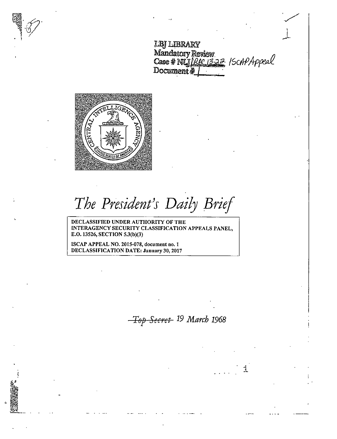**LBI LIBRARY** LOJ LIDKAKY<br>Mandatory Review<br>Case # NUJ/RAC 13-22 /SCAPAppeal  $Document$ #

 $\cdot$ ./

i -



*The President}s Daily Brief* 

DECLASSIFIED UNDER AUTHORITY OF THE INTERAGENCY SECURITY CLASSIFICATION APPEALS PANEL, E.O. 13526, SECTION 5.3(b)(3)

ISCAP APPEAL NO. 2015-078, document no. 1 DECLASSIFICATION DATE: January 30, 2017

Top *Seci·et* 19 *March* 1968

·1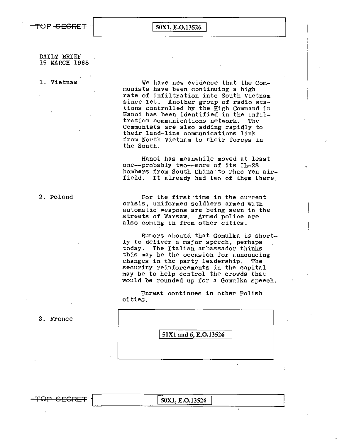## 50X1, E.O.13526

## DAILY BRIEF 19 MARCH 1968

1. Vietnam

We have new evidence that the Communists have been continuing a high rate of infiltration into South Vietnam since Tet. Another group of radio stations controlled by the High Command in Hanoi has been identified in the infiltration communications network. The Communists are also adding rapidly to their land-line communications link from North Vietnam to their forces in the South.

Hanoi has meanwhile moved at least one--probably two--more of its IL-28 bombers from South China to Phuc Yen airfield. It already had two of them there.

2. Poland For the first time in the current crisis, uniformed soldiers armed with automatic weapons are being seen in the streets of Warsaw. Armed police are also coming in from other cities.

> Rumors abound that Gomulka is shortly to deliver a major speech, perhaps today. The Italian ambassador thinks this may be the occasion for announcing changes in the party leadership. The security reinforcements in the capital may be to help control the crowds that would be rounded up for a Gomulka speech.

Unrest continues in other Polish cities.

3. France

50X1 and 6, E.O.13526

50X1, E.O.13526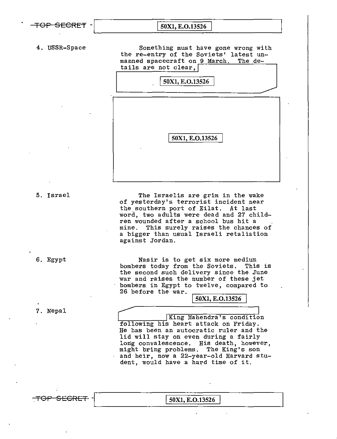

4. USSR-Space Something must have gone wrong with the re-entry of the Soviets' latest un manned spacecraft on 9 March. The details are not clear,

50X1, E.O.13526 50X1, E.O.13526

5. Israel

The Israelis are grim in the wake of yesterday's terrorist incident near the southern port of Eilat. At last word, two adults were dead and 27 children wounded after a school bus hit a mine. This surely raises the chances of a bigger than usual Israeli retaliation against Jordan.

6. Egypt

Nasir is to get six more medium bombers today from the Soviets. This is the second such delivery since the June war and raises the number of these jet bombers. in Egypt to twelve, compared to 26 before the war.

50X1, E.O.13526

7. Nepal

King Mahendra's condition following his heart attack on Friday. He has been an autocratic ruler .and the lid will stay on even during a fairly long convalescence. His death, however, might bring problems. The King's son and heir, now a 22-year-old Harvard student, would have a hard time of it.

TOP SECRET - 50X1, E.O.13526